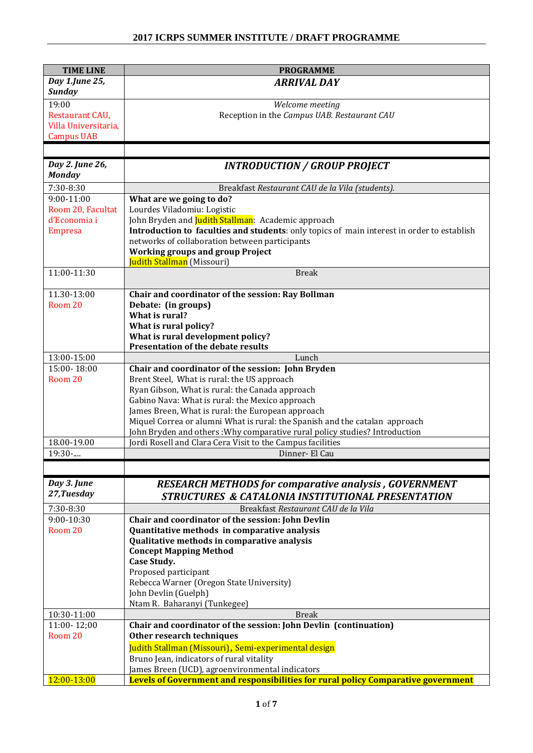| <b>TIME LINE</b>                 | <b>PROGRAMME</b>                                                                           |  |  |  |
|----------------------------------|--------------------------------------------------------------------------------------------|--|--|--|
| Day 1.June 25,                   | <b>ARRIVAL DAY</b>                                                                         |  |  |  |
| <b>Sunday</b>                    |                                                                                            |  |  |  |
| 19:00                            | Welcome meeting                                                                            |  |  |  |
| Restaurant CAU,                  | Reception in the Campus UAB. Restaurant CAU                                                |  |  |  |
| Villa Universitaria,             |                                                                                            |  |  |  |
| <b>Campus UAB</b>                |                                                                                            |  |  |  |
|                                  |                                                                                            |  |  |  |
| Day 2. June 26,<br><b>Monday</b> | <b>INTRODUCTION / GROUP PROJECT</b>                                                        |  |  |  |
| $7:30-8:30$                      | Breakfast Restaurant CAU de la Vila (students).                                            |  |  |  |
| $9:00-11:00$                     | What are we going to do?                                                                   |  |  |  |
| Room 20, Facultat                | Lourdes Viladomiu: Logistic                                                                |  |  |  |
| d'Economia i                     | John Bryden and Judith Stallman: Academic approach                                         |  |  |  |
| <b>Empresa</b>                   | Introduction to faculties and students: only topics of main interest in order to establish |  |  |  |
|                                  | networks of collaboration between participants                                             |  |  |  |
|                                  | <b>Working groups and group Project</b>                                                    |  |  |  |
| 11:00-11:30                      | Judith Stallman (Missouri)<br><b>Break</b>                                                 |  |  |  |
|                                  |                                                                                            |  |  |  |
| 11.30-13:00                      | Chair and coordinator of the session: Ray Bollman                                          |  |  |  |
| Room 20                          | Debate: (in groups)                                                                        |  |  |  |
|                                  | What is rural?                                                                             |  |  |  |
|                                  | What is rural policy?                                                                      |  |  |  |
|                                  | What is rural development policy?<br><b>Presentation of the debate results</b>             |  |  |  |
| 13:00-15:00                      | Lunch                                                                                      |  |  |  |
| 15:00-18:00                      | Chair and coordinator of the session: John Bryden                                          |  |  |  |
| Room 20                          | Brent Steel, What is rural: the US approach                                                |  |  |  |
|                                  | Ryan Gibson, What is rural: the Canada approach                                            |  |  |  |
|                                  | Gabino Nava: What is rural: the Mexico approach                                            |  |  |  |
|                                  | James Breen, What is rural: the European approach                                          |  |  |  |
|                                  | Miquel Correa or alumni What is rural: the Spanish and the catalan approach                |  |  |  |
|                                  | John Bryden and others: Why comparative rural policy studies? Introduction                 |  |  |  |
| 18.00-19.00                      | Jordi Rosell and Clara Cera Visit to the Campus facilities                                 |  |  |  |
| 19:30-                           | Dinner- El Cau                                                                             |  |  |  |
|                                  |                                                                                            |  |  |  |
| Day 3. June                      | <b>RESEARCH METHODS for comparative analysis, GOVERNMENT</b>                               |  |  |  |
| 27, Tuesday                      | <b>STRUCTURES &amp; CATALONIA INSTITUTIONAL PRESENTATION</b>                               |  |  |  |
| 7:30-8:30                        | Breakfast Restaurant CAU de la Vila                                                        |  |  |  |
| 9:00-10:30                       | Chair and coordinator of the session: John Devlin                                          |  |  |  |
| Room 20                          | Quantitative methods in comparative analysis                                               |  |  |  |
|                                  | Qualitative methods in comparative analysis                                                |  |  |  |
|                                  | <b>Concept Mapping Method</b>                                                              |  |  |  |
|                                  | Case Study.                                                                                |  |  |  |
|                                  | Proposed participant                                                                       |  |  |  |
|                                  | Rebecca Warner (Oregon State University)<br>John Devlin (Guelph)                           |  |  |  |
|                                  | Ntam R. Baharanyi (Tunkegee)                                                               |  |  |  |
| 10:30-11:00                      | <b>Break</b>                                                                               |  |  |  |
| 11:00-12;00                      | Chair and coordinator of the session: John Devlin (continuation)                           |  |  |  |
| Room 20                          | Other research techniques                                                                  |  |  |  |
|                                  | Judith Stallman (Missouri), Semi-experimental design                                       |  |  |  |
|                                  | Bruno Jean, indicators of rural vitality                                                   |  |  |  |
|                                  | James Breen (UCD), agroenvironmental indicators                                            |  |  |  |
| 12:00-13:00                      | <b>Levels of Government and responsibilities for rural policy Comparative government</b>   |  |  |  |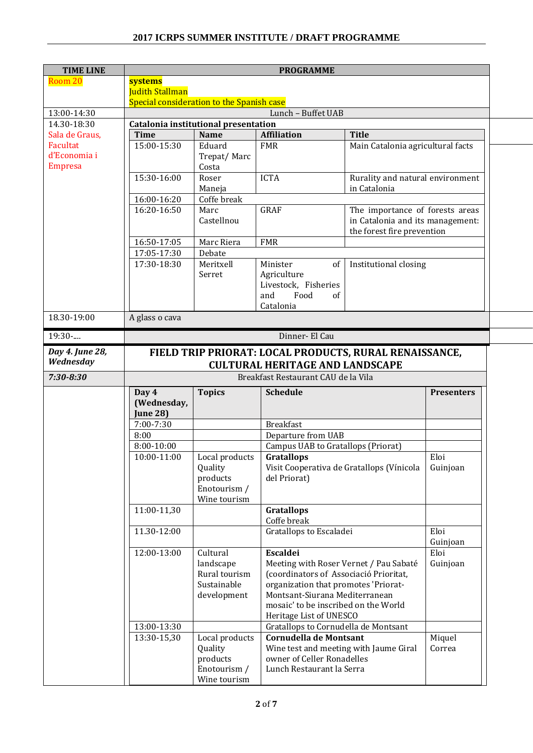## **2017 ICRPS SUMMER INSTITUTE / DRAFT PROGRAMME**

| <b>TIME LINE</b>               |                                                        | <b>PROGRAMME</b>                          |                                                                      |                                                  |                   |
|--------------------------------|--------------------------------------------------------|-------------------------------------------|----------------------------------------------------------------------|--------------------------------------------------|-------------------|
| Room 20                        | systems                                                |                                           |                                                                      |                                                  |                   |
|                                | <b>Judith Stallman</b>                                 |                                           |                                                                      |                                                  |                   |
|                                |                                                        | Special consideration to the Spanish case |                                                                      |                                                  |                   |
| 13:00-14:30                    |                                                        |                                           | Lunch - Buffet UAB                                                   |                                                  |                   |
| 14.30-18:30                    |                                                        | Catalonia institutional presentation      |                                                                      |                                                  |                   |
| Sala de Graus,                 | <b>Time</b>                                            | <b>Name</b>                               | <b>Affiliation</b>                                                   | <b>Title</b>                                     |                   |
| Facultat                       | 15:00-15:30                                            | Eduard                                    | <b>FMR</b>                                                           | Main Catalonia agricultural facts                |                   |
| d'Economia i<br><b>Empresa</b> |                                                        | Trepat/Marc                               |                                                                      |                                                  |                   |
|                                | 15:30-16:00                                            | Costa<br>Roser                            | <b>ICTA</b>                                                          |                                                  |                   |
|                                |                                                        |                                           |                                                                      | Rurality and natural environment<br>in Catalonia |                   |
|                                | 16:00-16:20                                            | Maneja<br>Coffe break                     |                                                                      |                                                  |                   |
|                                | 16:20-16:50                                            | Marc                                      | <b>GRAF</b>                                                          | The importance of forests areas                  |                   |
|                                |                                                        | Castellnou                                |                                                                      | in Catalonia and its management:                 |                   |
|                                |                                                        |                                           |                                                                      | the forest fire prevention                       |                   |
|                                | 16:50-17:05                                            | Marc Riera                                | <b>FMR</b>                                                           |                                                  |                   |
|                                | 17:05-17:30                                            | Debate                                    |                                                                      |                                                  |                   |
|                                | 17:30-18:30                                            | Meritxell                                 | Minister<br>of                                                       | Institutional closing                            |                   |
|                                |                                                        | Serret                                    | Agriculture                                                          |                                                  |                   |
|                                |                                                        |                                           | Livestock, Fisheries                                                 |                                                  |                   |
|                                |                                                        |                                           | Food<br>and<br>of                                                    |                                                  |                   |
|                                |                                                        |                                           | Catalonia                                                            |                                                  |                   |
| 18.30-19:00                    | A glass o cava                                         |                                           |                                                                      |                                                  |                   |
| 19:30-                         |                                                        |                                           | Dinner- El Cau                                                       |                                                  |                   |
| Day 4. June 28,                |                                                        |                                           |                                                                      |                                                  |                   |
| Wednesday                      | FIELD TRIP PRIORAT: LOCAL PRODUCTS, RURAL RENAISSANCE, |                                           |                                                                      |                                                  |                   |
|                                | <b>CULTURAL HERITAGE AND LANDSCAPE</b>                 |                                           |                                                                      |                                                  |                   |
| $7:30 - 8:30$                  |                                                        |                                           | Breakfast Restaurant CAU de la Vila                                  |                                                  |                   |
|                                | Day 4                                                  | <b>Topics</b>                             | <b>Schedule</b>                                                      |                                                  | <b>Presenters</b> |
|                                | (Wednesday,                                            |                                           |                                                                      |                                                  |                   |
|                                | <b>June 28)</b>                                        |                                           |                                                                      |                                                  |                   |
|                                | 7:00-7:30                                              |                                           | <b>Breakfast</b>                                                     |                                                  |                   |
|                                | 8:00                                                   |                                           | Departure from UAB                                                   |                                                  |                   |
|                                | $8:00-10:00$                                           |                                           | Campus UAB to Gratallops (Priorat)                                   |                                                  |                   |
|                                | 10:00-11:00                                            | Local products                            | <b>Gratallops</b>                                                    |                                                  | Eloi              |
|                                |                                                        | Quality                                   | Visit Cooperativa de Gratallops (Vínicola                            |                                                  | Guinjoan          |
|                                |                                                        | products                                  | del Priorat)                                                         |                                                  |                   |
|                                |                                                        | Enotourism /                              |                                                                      |                                                  |                   |
|                                |                                                        | Wine tourism                              |                                                                      |                                                  |                   |
|                                | 11:00-11,30                                            |                                           | <b>Gratallops</b>                                                    |                                                  |                   |
|                                | 11.30-12:00                                            |                                           | Coffe break<br>Gratallops to Escaladei                               |                                                  | Eloi              |
|                                |                                                        |                                           |                                                                      |                                                  | Guinjoan          |
|                                | 12:00-13:00                                            | Cultural                                  | Escaldei                                                             |                                                  | Eloi              |
|                                |                                                        | landscape                                 | Meeting with Roser Vernet / Pau Sabaté                               |                                                  | Guinjoan          |
|                                |                                                        | Rural tourism                             | (coordinators of Associació Prioritat,                               |                                                  |                   |
|                                |                                                        | Sustainable                               | organization that promotes 'Priorat-                                 |                                                  |                   |
|                                |                                                        | development                               | Montsant-Siurana Mediterranean                                       |                                                  |                   |
|                                |                                                        |                                           |                                                                      |                                                  |                   |
|                                |                                                        |                                           |                                                                      |                                                  |                   |
|                                |                                                        |                                           | mosaic' to be inscribed on the World                                 |                                                  |                   |
|                                |                                                        |                                           | Heritage List of UNESCO                                              |                                                  |                   |
|                                | 13:00-13:30                                            |                                           | Gratallops to Cornudella de Montsant                                 |                                                  |                   |
|                                | 13:30-15,30                                            | Local products                            | <b>Cornudella de Montsant</b>                                        |                                                  | Miquel            |
|                                |                                                        | Quality                                   | Wine test and meeting with Jaume Giral<br>owner of Celler Ronadelles |                                                  | Correa            |
|                                |                                                        | products<br>Enotourism /                  | Lunch Restaurant la Serra                                            |                                                  |                   |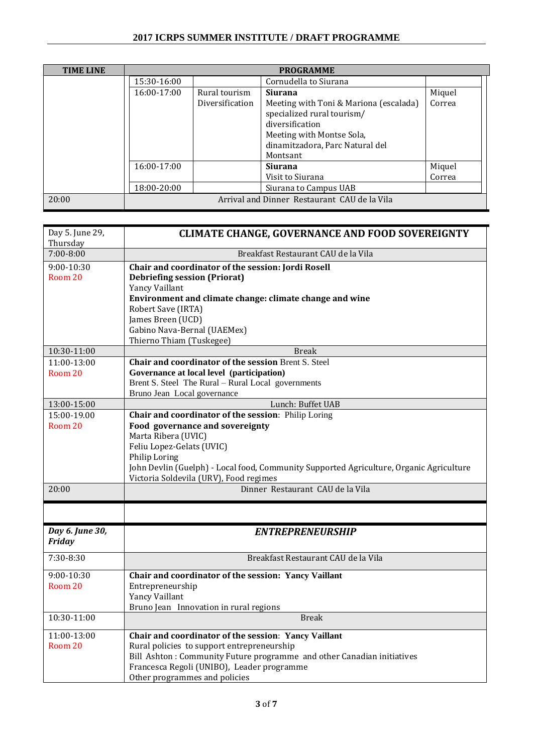| <b>TIME LINE</b> | <b>PROGRAMME</b> |                 |                                                                                                                                                                     |        |
|------------------|------------------|-----------------|---------------------------------------------------------------------------------------------------------------------------------------------------------------------|--------|
|                  | 15:30-16:00      |                 | Cornudella to Siurana                                                                                                                                               |        |
|                  | 16:00-17:00      | Rural tourism   | <b>Siurana</b>                                                                                                                                                      | Miquel |
|                  |                  | Diversification | Meeting with Toni & Mariona (escalada)<br>specialized rural tourism/<br>diversification<br>Meeting with Montse Sola,<br>dinamitzadora, Parc Natural del<br>Montsant | Correa |
|                  | $16:00-17:00$    |                 | <b>Siurana</b>                                                                                                                                                      | Miquel |
|                  |                  |                 | Visit to Siurana                                                                                                                                                    | Correa |
|                  | 18:00-20:00      |                 | Siurana to Campus UAB                                                                                                                                               |        |
| 20:00            |                  |                 | Arrival and Dinner Restaurant CAU de la Vila                                                                                                                        |        |

| Day 5. June 29, | <b>CLIMATE CHANGE, GOVERNANCE AND FOOD SOVEREIGNTY</b>                                  |
|-----------------|-----------------------------------------------------------------------------------------|
| Thursday        |                                                                                         |
| $7:00 - 8:00$   | Breakfast Restaurant CAU de la Vila                                                     |
| 9:00-10:30      | Chair and coordinator of the session: Jordi Rosell                                      |
| Room 20         | <b>Debriefing session (Priorat)</b>                                                     |
|                 | Yancy Vaillant                                                                          |
|                 | Environment and climate change: climate change and wine                                 |
|                 | Robert Save (IRTA)                                                                      |
|                 | James Breen (UCD)                                                                       |
|                 | Gabino Nava-Bernal (UAEMex)                                                             |
| 10:30-11:00     | Thierno Thiam (Tuskegee)<br><b>Break</b>                                                |
| $11:00-13:00$   | Chair and coordinator of the session Brent S. Steel                                     |
| Room 20         | Governance at local level (participation)                                               |
|                 | Brent S. Steel The Rural - Rural Local governments                                      |
|                 | Bruno Jean Local governance                                                             |
| 13:00-15:00     | Lunch: Buffet UAB                                                                       |
| 15:00-19.00     | Chair and coordinator of the session: Philip Loring                                     |
| Room 20         | Food governance and sovereignty                                                         |
|                 | Marta Ribera (UVIC)                                                                     |
|                 | Feliu Lopez-Gelats (UVIC)                                                               |
|                 | Philip Loring                                                                           |
|                 | John Devlin (Guelph) - Local food, Community Supported Agriculture, Organic Agriculture |
| 20:00           | Victoria Soldevila (URV), Food regimes<br>Dinner Restaurant CAU de la Vila              |
|                 |                                                                                         |
|                 |                                                                                         |
| Day 6. June 30, | <b>ENTREPRENEURSHIP</b>                                                                 |
| Friday          |                                                                                         |
| 7:30-8:30       | Breakfast Restaurant CAU de la Vila                                                     |
| 9:00-10:30      | Chair and coordinator of the session: Yancy Vaillant                                    |
| Room 20         | Entrepreneurship                                                                        |
|                 | Yancy Vaillant                                                                          |
|                 | Bruno Jean Innovation in rural regions                                                  |
| 10:30-11:00     | <b>Break</b>                                                                            |
| 11:00-13:00     | Chair and coordinator of the session: Yancy Vaillant                                    |
| Room 20         | Rural policies to support entrepreneurship                                              |
|                 | Bill Ashton: Community Future programme and other Canadian initiatives                  |
|                 | Francesca Regoli (UNIBO), Leader programme                                              |
|                 | Other programmes and policies                                                           |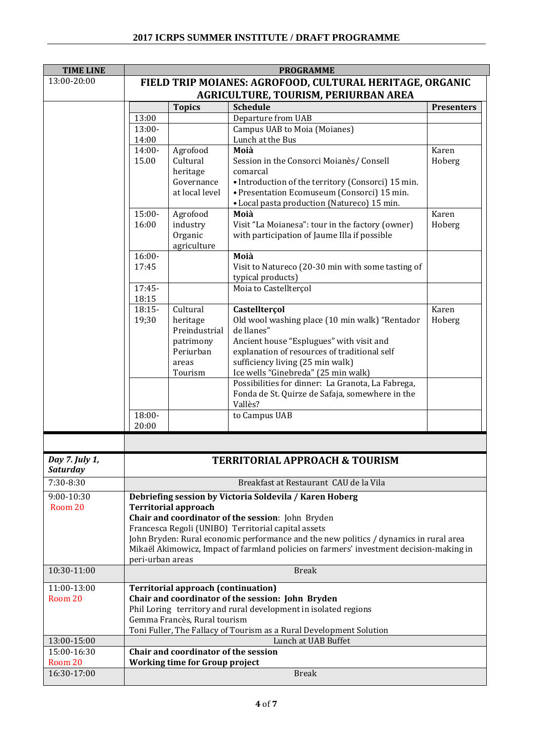| <b>TIME LINE</b> | <b>PROGRAMME</b>                                                |                                            |                                                                                            |                   |
|------------------|-----------------------------------------------------------------|--------------------------------------------|--------------------------------------------------------------------------------------------|-------------------|
| 13:00-20:00      | FIELD TRIP MOIANES: AGROFOOD, CULTURAL HERITAGE, ORGANIC        |                                            |                                                                                            |                   |
|                  | AGRICULTURE, TOURISM, PERIURBAN AREA                            |                                            |                                                                                            |                   |
|                  |                                                                 | <b>Topics</b>                              | <b>Schedule</b>                                                                            | <b>Presenters</b> |
|                  | 13:00                                                           |                                            | Departure from UAB                                                                         |                   |
|                  | 13:00-                                                          |                                            | Campus UAB to Moia (Moianes)                                                               |                   |
|                  | 14:00                                                           |                                            | Lunch at the Bus                                                                           |                   |
|                  | 14:00-                                                          | Agrofood                                   | Moià                                                                                       | Karen             |
|                  | 15.00                                                           | Cultural                                   | Session in the Consorci Moianès/ Consell                                                   | Hoberg            |
|                  |                                                                 | heritage<br>Governance                     | comarcal<br>• Introduction of the territory (Consorci) 15 min.                             |                   |
|                  |                                                                 | at local level                             | • Presentation Ecomuseum (Consorci) 15 min.                                                |                   |
|                  |                                                                 |                                            | • Local pasta production (Natureco) 15 min.                                                |                   |
|                  | $15:00-$                                                        | Agrofood                                   | Moià                                                                                       | Karen             |
|                  | 16:00                                                           | industry                                   | Visit "La Moianesa": tour in the factory (owner)                                           | Hoberg            |
|                  |                                                                 | Organic                                    | with participation of Jaume Illa if possible                                               |                   |
|                  |                                                                 | agriculture                                |                                                                                            |                   |
|                  | $16:00 -$                                                       |                                            | Moià                                                                                       |                   |
|                  | 17:45                                                           |                                            | Visit to Natureco (20-30 min with some tasting of                                          |                   |
|                  |                                                                 |                                            | typical products)                                                                          |                   |
|                  | 17:45-                                                          |                                            | Moia to Castellterçol                                                                      |                   |
|                  | 18:15<br>$18:15-$                                               | Cultural                                   |                                                                                            | Karen             |
|                  | 19;30                                                           | heritage                                   | Castellterçol<br>Old wool washing place (10 min walk) "Rentador                            | Hoberg            |
|                  |                                                                 | Preindustrial                              | de llanes"                                                                                 |                   |
|                  |                                                                 | patrimony                                  | Ancient house "Esplugues" with visit and                                                   |                   |
|                  |                                                                 | Periurban                                  | explanation of resources of traditional self                                               |                   |
|                  |                                                                 | areas                                      | sufficiency living (25 min walk)                                                           |                   |
|                  |                                                                 | Tourism                                    | Ice wells "Ginebreda" (25 min walk)                                                        |                   |
|                  |                                                                 |                                            | Possibilities for dinner: La Granota, La Fabrega,                                          |                   |
|                  |                                                                 |                                            | Fonda de St. Quirze de Safaja, somewhere in the                                            |                   |
|                  |                                                                 |                                            | Vallès?                                                                                    |                   |
|                  | 18:00-<br>20:00                                                 |                                            | to Campus UAB                                                                              |                   |
|                  |                                                                 |                                            |                                                                                            |                   |
|                  |                                                                 |                                            |                                                                                            |                   |
| Day 7. July 1,   |                                                                 |                                            | TERRITORIAL APPROACH & TOURISM                                                             |                   |
| <b>Saturday</b>  |                                                                 |                                            |                                                                                            |                   |
| 7:30-8:30        |                                                                 |                                            | Breakfast at Restaurant CAU de la Vila                                                     |                   |
| 9:00-10:30       |                                                                 |                                            | Debriefing session by Victoria Soldevila / Karen Hoberg                                    |                   |
| Room 20          |                                                                 | <b>Territorial approach</b>                |                                                                                            |                   |
|                  |                                                                 |                                            | Chair and coordinator of the session: John Bryden                                          |                   |
|                  | Francesca Regoli (UNIBO) Territorial capital assets             |                                            |                                                                                            |                   |
|                  |                                                                 |                                            | John Bryden: Rural economic performance and the new politics / dynamics in rural area      |                   |
|                  |                                                                 |                                            | Mikaël Akimowicz, Impact of farmland policies on farmers' investment decision-making in    |                   |
|                  | peri-urban areas                                                |                                            |                                                                                            |                   |
| 10:30-11:00      | <b>Break</b>                                                    |                                            |                                                                                            |                   |
| 11:00-13:00      |                                                                 | <b>Territorial approach (continuation)</b> |                                                                                            |                   |
| Room 20          |                                                                 |                                            | Chair and coordinator of the session: John Bryden                                          |                   |
|                  | Phil Loring territory and rural development in isolated regions |                                            |                                                                                            |                   |
|                  |                                                                 | Gemma Francès, Rural tourism               |                                                                                            |                   |
| 13:00-15:00      |                                                                 |                                            | Toni Fuller, The Fallacy of Tourism as a Rural Development Solution<br>Lunch at UAB Buffet |                   |
| 15:00-16:30      |                                                                 | Chair and coordinator of the session       |                                                                                            |                   |
| Room 20          |                                                                 | <b>Working time for Group project</b>      |                                                                                            |                   |
| 16:30-17:00      |                                                                 |                                            | <b>Break</b>                                                                               |                   |
|                  |                                                                 |                                            |                                                                                            |                   |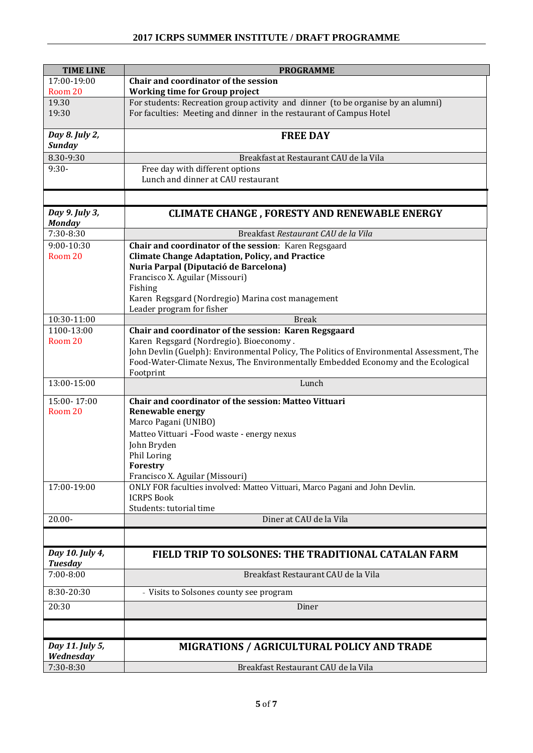| <b>TIME LINE</b>                | <b>PROGRAMME</b>                                                                                                                                        |
|---------------------------------|---------------------------------------------------------------------------------------------------------------------------------------------------------|
| 17:00-19:00                     | Chair and coordinator of the session                                                                                                                    |
| Room 20                         | <b>Working time for Group project</b>                                                                                                                   |
| 19.30<br>19:30                  | For students: Recreation group activity and dinner (to be organise by an alumni)<br>For faculties: Meeting and dinner in the restaurant of Campus Hotel |
|                                 |                                                                                                                                                         |
| Day 8. July 2,                  | <b>FREE DAY</b>                                                                                                                                         |
| <b>Sunday</b>                   |                                                                                                                                                         |
| 8.30-9:30                       | Breakfast at Restaurant CAU de la Vila                                                                                                                  |
| $9:30-$                         | Free day with different options                                                                                                                         |
|                                 | Lunch and dinner at CAU restaurant                                                                                                                      |
|                                 |                                                                                                                                                         |
| Day 9. July 3,                  | <b>CLIMATE CHANGE, FORESTY AND RENEWABLE ENERGY</b>                                                                                                     |
| <b>Monday</b><br>7:30-8:30      | Breakfast Restaurant CAU de la Vila                                                                                                                     |
| $9:00-10:30$                    | Chair and coordinator of the session: Karen Regsgaard                                                                                                   |
| Room 20                         | <b>Climate Change Adaptation, Policy, and Practice</b>                                                                                                  |
|                                 | Nuria Parpal (Diputació de Barcelona)                                                                                                                   |
|                                 | Francisco X. Aguilar (Missouri)                                                                                                                         |
|                                 | Fishing                                                                                                                                                 |
|                                 | Karen Regsgard (Nordregio) Marina cost management<br>Leader program for fisher                                                                          |
| 10:30-11:00                     | <b>Break</b>                                                                                                                                            |
| 1100-13:00                      | Chair and coordinator of the session: Karen Regsgaard                                                                                                   |
| Room 20                         | Karen Regsgard (Nordregio). Bioeconomy.                                                                                                                 |
|                                 | John Devlin (Guelph): Environmental Policy, The Politics of Environmental Assessment, The                                                               |
|                                 | Food-Water-Climate Nexus, The Environmentally Embedded Economy and the Ecological<br>Footprint                                                          |
| 13:00-15:00                     | Lunch                                                                                                                                                   |
| 15:00-17:00                     | Chair and coordinator of the session: Matteo Vittuari                                                                                                   |
| Room 20                         | <b>Renewable energy</b>                                                                                                                                 |
|                                 | Marco Pagani (UNIBO)                                                                                                                                    |
|                                 | Matteo Vittuari - Food waste - energy nexus                                                                                                             |
|                                 | John Bryden                                                                                                                                             |
|                                 | Phil Loring                                                                                                                                             |
|                                 | Forestry<br>Francisco X. Aguilar (Missouri)                                                                                                             |
| 17:00-19:00                     | ONLY FOR faculties involved: Matteo Vittuari, Marco Pagani and John Devlin.                                                                             |
|                                 | <b>ICRPS Book</b>                                                                                                                                       |
|                                 | Students: tutorial time                                                                                                                                 |
| $20.00 -$                       | Diner at CAU de la Vila                                                                                                                                 |
|                                 |                                                                                                                                                         |
| Day 10. July 4,                 | FIELD TRIP TO SOLSONES: THE TRADITIONAL CATALAN FARM                                                                                                    |
| <b>Tuesday</b><br>$7:00 - 8:00$ | Breakfast Restaurant CAU de la Vila                                                                                                                     |
|                                 |                                                                                                                                                         |
| 8:30-20:30                      | - Visits to Solsones county see program                                                                                                                 |
| 20:30                           | Diner                                                                                                                                                   |
|                                 |                                                                                                                                                         |
| Day 11. July 5,                 | MIGRATIONS / AGRICULTURAL POLICY AND TRADE                                                                                                              |
| Wednesday                       |                                                                                                                                                         |
| 7:30-8:30                       | Breakfast Restaurant CAU de la Vila                                                                                                                     |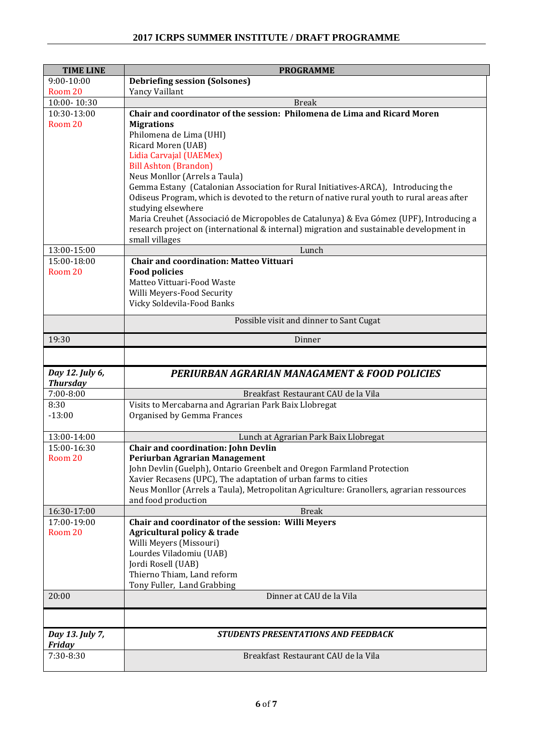## **2017 ICRPS SUMMER INSTITUTE / DRAFT PROGRAMME**

| <b>TIME LINE</b>                 | <b>PROGRAMME</b>                                                                                                                                           |
|----------------------------------|------------------------------------------------------------------------------------------------------------------------------------------------------------|
| $9:00 - 10:00$                   | <b>Debriefing session (Solsones)</b>                                                                                                                       |
| Room 20                          | Yancy Vaillant                                                                                                                                             |
| 10:00-10:30                      | <b>Break</b>                                                                                                                                               |
| 10:30-13:00                      | Chair and coordinator of the session: Philomena de Lima and Ricard Moren                                                                                   |
| Room 20                          | <b>Migrations</b><br>Philomena de Lima (UHI)                                                                                                               |
|                                  | Ricard Moren (UAB)                                                                                                                                         |
|                                  | Lidia Carvajal (UAEMex)                                                                                                                                    |
|                                  | <b>Bill Ashton (Brandon)</b>                                                                                                                               |
|                                  | Neus Monllor (Arrels a Taula)                                                                                                                              |
|                                  | Gemma Estany (Catalonian Association for Rural Initiatives-ARCA), Introducing the                                                                          |
|                                  | Odiseus Program, which is devoted to the return of native rural youth to rural areas after                                                                 |
|                                  | studying elsewhere<br>Maria Creuhet (Associació de Micropobles de Catalunya) & Eva Gómez (UPF), Introducing a                                              |
|                                  | research project on (international & internal) migration and sustainable development in                                                                    |
|                                  | small villages                                                                                                                                             |
| 13:00-15:00                      | Lunch                                                                                                                                                      |
| 15:00-18:00                      | <b>Chair and coordination: Matteo Vittuari</b>                                                                                                             |
| Room 20                          | <b>Food policies</b>                                                                                                                                       |
|                                  | Matteo Vittuari-Food Waste                                                                                                                                 |
|                                  | Willi Meyers-Food Security<br>Vicky Soldevila-Food Banks                                                                                                   |
|                                  |                                                                                                                                                            |
|                                  | Possible visit and dinner to Sant Cugat                                                                                                                    |
| 19:30                            | Dinner                                                                                                                                                     |
|                                  |                                                                                                                                                            |
|                                  |                                                                                                                                                            |
|                                  |                                                                                                                                                            |
| Day 12. July 6,                  | PERIURBAN AGRARIAN MANAGAMENT & FOOD POLICIES                                                                                                              |
| <b>Thursday</b><br>$7:00 - 8:00$ | Breakfast Restaurant CAU de la Vila                                                                                                                        |
| 8:30                             | Visits to Mercabarna and Agrarian Park Baix Llobregat                                                                                                      |
| $-13:00$                         | Organised by Gemma Frances                                                                                                                                 |
|                                  |                                                                                                                                                            |
| 13:00-14:00                      | Lunch at Agrarian Park Baix Llobregat                                                                                                                      |
| 15:00-16:30                      | <b>Chair and coordination: John Devlin</b>                                                                                                                 |
| Room 20                          | Periurban Agrarian Management                                                                                                                              |
|                                  | John Devlin (Guelph), Ontario Greenbelt and Oregon Farmland Protection                                                                                     |
|                                  | Xavier Recasens (UPC), The adaptation of urban farms to cities<br>Neus Monllor (Arrels a Taula), Metropolitan Agriculture: Granollers, agrarian ressources |
|                                  | and food production                                                                                                                                        |
| 16:30-17:00                      | <b>Break</b>                                                                                                                                               |
| 17:00-19:00                      | Chair and coordinator of the session: Willi Meyers                                                                                                         |
| Room 20                          | Agricultural policy & trade                                                                                                                                |
|                                  | Willi Meyers (Missouri)                                                                                                                                    |
|                                  | Lourdes Viladomiu (UAB)                                                                                                                                    |
|                                  | Jordi Rosell (UAB)<br>Thierno Thiam, Land reform                                                                                                           |
|                                  | Tony Fuller, Land Grabbing                                                                                                                                 |
| 20:00                            | Dinner at CAU de la Vila                                                                                                                                   |
|                                  |                                                                                                                                                            |
|                                  |                                                                                                                                                            |
| Day 13. July 7,<br><b>Friday</b> | <b>STUDENTS PRESENTATIONS AND FEEDBACK</b>                                                                                                                 |